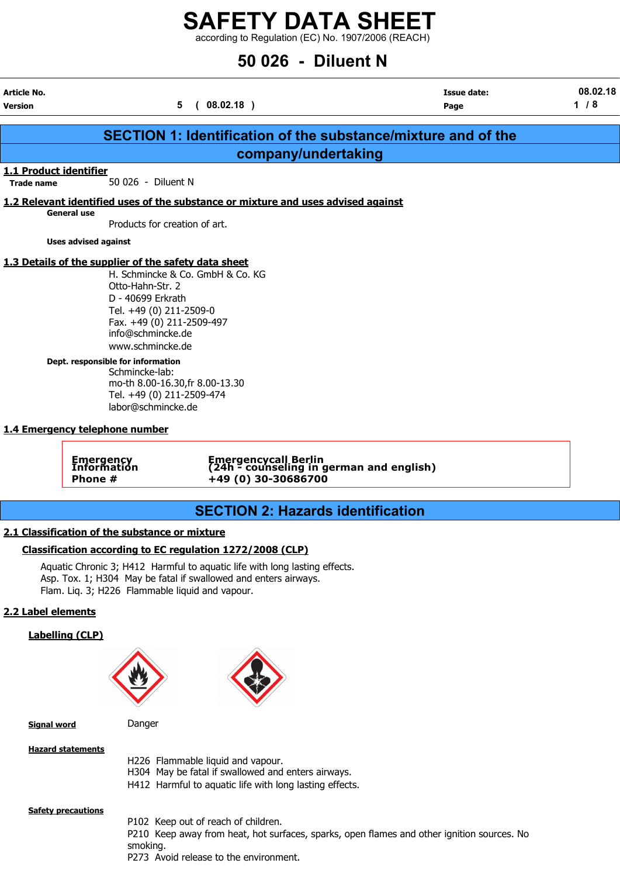according to Regulation (EC) No. 1907/2006 (REACH)

## 50 026 - Diluent N

Article No. Issue date: 08.02.18 Version 1 / 8 ( 08.02.18 )

| <b>SECTION 1: Identification of the substance/mixture and of the</b>                                                                      |                                                                                                                                                                                                                                    |  |  |  |  |
|-------------------------------------------------------------------------------------------------------------------------------------------|------------------------------------------------------------------------------------------------------------------------------------------------------------------------------------------------------------------------------------|--|--|--|--|
| company/undertaking                                                                                                                       |                                                                                                                                                                                                                                    |  |  |  |  |
| 1.1 Product identifier                                                                                                                    |                                                                                                                                                                                                                                    |  |  |  |  |
| <b>Trade name</b>                                                                                                                         | 50 026 - Diluent N                                                                                                                                                                                                                 |  |  |  |  |
|                                                                                                                                           | 1.2 Relevant identified uses of the substance or mixture and uses advised against                                                                                                                                                  |  |  |  |  |
| <b>General use</b>                                                                                                                        | Products for creation of art.                                                                                                                                                                                                      |  |  |  |  |
| <b>Uses advised against</b>                                                                                                               |                                                                                                                                                                                                                                    |  |  |  |  |
|                                                                                                                                           |                                                                                                                                                                                                                                    |  |  |  |  |
|                                                                                                                                           | 1.3 Details of the supplier of the safety data sheet<br>H. Schmincke & Co. GmbH & Co. KG<br>Otto-Hahn-Str. 2<br>D - 40699 Erkrath<br>Tel. +49 (0) 211-2509-0<br>Fax. +49 (0) 211-2509-497<br>info@schmincke.de<br>www.schmincke.de |  |  |  |  |
| Dept. responsible for information<br>Schmincke-lab:<br>mo-th 8.00-16.30, fr 8.00-13.30<br>Tel. +49 (0) 211-2509-474<br>labor@schmincke.de |                                                                                                                                                                                                                                    |  |  |  |  |
| 1.4 Emergency telephone number                                                                                                            |                                                                                                                                                                                                                                    |  |  |  |  |
| <b>Emergency</b><br>Information<br>Phone #                                                                                                | Emergencycall Berlin<br>(24h - counseling in german and english)<br>+49 (0) 30-30686700                                                                                                                                            |  |  |  |  |
|                                                                                                                                           | <b>SECTION 2: Hazards identification</b>                                                                                                                                                                                           |  |  |  |  |
| 2.1 Classification of the substance or mixture                                                                                            |                                                                                                                                                                                                                                    |  |  |  |  |
|                                                                                                                                           | Classification according to EC regulation 1272/2008 (CLP)                                                                                                                                                                          |  |  |  |  |
|                                                                                                                                           | Aquatic Chronic 3; H412 Harmful to aquatic life with long lasting effects.<br>Asp. Tox. 1; H304 May be fatal if swallowed and enters airways.<br>Flam. Liq. 3; H226 Flammable liquid and vapour.                                   |  |  |  |  |
| 2.2 Label elements                                                                                                                        |                                                                                                                                                                                                                                    |  |  |  |  |
| <b>Labelling (CLP)</b>                                                                                                                    |                                                                                                                                                                                                                                    |  |  |  |  |
|                                                                                                                                           |                                                                                                                                                                                                                                    |  |  |  |  |
| <b>Signal word</b>                                                                                                                        | Danger                                                                                                                                                                                                                             |  |  |  |  |
| <b>Hazard statements</b>                                                                                                                  | H226 Flammable liquid and vapour.<br>H304 May be fatal if swallowed and enters airways.<br>H412 Harmful to aquatic life with long lasting effects.                                                                                 |  |  |  |  |
| <b>Safety precautions</b>                                                                                                                 | P102 Keep out of reach of children.<br>P210 Keep away from heat, hot surfaces, sparks, open flames and other ignition sources. No<br>smoking.<br>P273 Avoid release to the environment.                                            |  |  |  |  |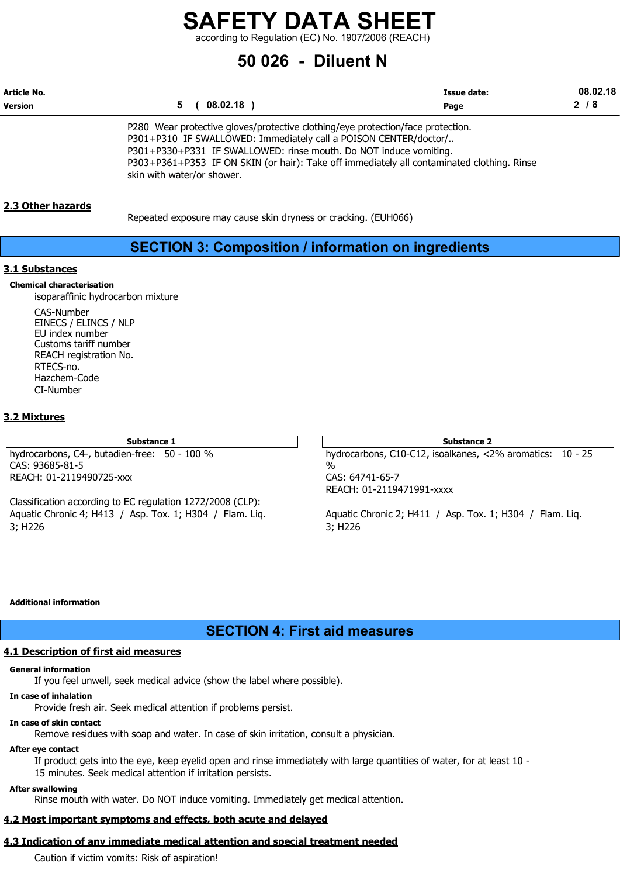according to Regulation (EC) No. 1907/2006 (REACH)

## 50 026 - Diluent N

| Article No. |          | Issue date:<br>$\begin{array}{cccccccccccccc} \multicolumn{4}{c}{} & \multicolumn{4}{c}{} & \multicolumn{4}{c}{} & \multicolumn{4}{c}{} & \multicolumn{4}{c}{} & \multicolumn{4}{c}{} & \multicolumn{4}{c}{} & \multicolumn{4}{c}{} & \multicolumn{4}{c}{} & \multicolumn{4}{c}{} & \multicolumn{4}{c}{} & \multicolumn{4}{c}{} & \multicolumn{4}{c}{} & \multicolumn{4}{c}{} & \multicolumn{4}{c}{} & \multicolumn{4}{c}{} & \multicolumn{4}{c}{} & \multicolumn{4}{c}{} & \multicolumn{4}{c}{} & \$ | 08.02.18 |
|-------------|----------|-------------------------------------------------------------------------------------------------------------------------------------------------------------------------------------------------------------------------------------------------------------------------------------------------------------------------------------------------------------------------------------------------------------------------------------------------------------------------------------------------------|----------|
| Version     | 08.02.18 | Page                                                                                                                                                                                                                                                                                                                                                                                                                                                                                                  | -        |
|             |          |                                                                                                                                                                                                                                                                                                                                                                                                                                                                                                       |          |

P280 Wear protective gloves/protective clothing/eye protection/face protection. P301+P310 IF SWALLOWED: Immediately call a POISON CENTER/doctor/.. P301+P330+P331 IF SWALLOWED: rinse mouth. Do NOT induce vomiting. P303+P361+P353 IF ON SKIN (or hair): Take off immediately all contaminated clothing. Rinse skin with water/or shower.

#### 2.3 Other hazards

Repeated exposure may cause skin dryness or cracking. (EUH066)

## SECTION 3: Composition / information on ingredients

#### 3.1 Substances

Chemical characterisation isoparaffinic hydrocarbon mixture CAS-Number EINECS / ELINCS / NLP EU index number Customs tariff number REACH registration No. RTECS-no. Hazchem-Code CI-Number

#### 3.2 Mixtures

CAS: 93685-81-5 % REACH: 01-2119490725-xxx CAS: 64741-65-7

Classification according to EC regulation 1272/2008 (CLP): Aquatic Chronic 4; H413 / Asp. Tox. 1; H304 / Flam. Lig. Aquatic Chronic 2; H411 / Asp. Tox. 1; H304 / Flam. Lig. 3; H226 3; H226

Substance 1 and 1 Substance 2 and 1 Substance 2 and 1 Substance 2 and 2 Substance 2 and 2 Substance 2

hydrocarbons, C4-, butadien-free: 50 - 100 % hydrocarbons, C10-C12, isoalkanes, <2% aromatics: 10 - 25<br>CAS: 93685-81-5 REACH: 01-2119471991-xxxx

Additional information

### SECTION 4: First aid measures

### 4.1 Description of first aid measures

#### General information

If you feel unwell, seek medical advice (show the label where possible).

#### In case of inhalation

Provide fresh air. Seek medical attention if problems persist.

#### In case of skin contact

Remove residues with soap and water. In case of skin irritation, consult a physician.

#### After eye contact

If product gets into the eye, keep eyelid open and rinse immediately with large quantities of water, for at least 10 - 15 minutes. Seek medical attention if irritation persists.

#### After swallowing

Rinse mouth with water. Do NOT induce vomiting. Immediately get medical attention.

### 4.2 Most important symptoms and effects, both acute and delayed

## 4.3 Indication of any immediate medical attention and special treatment needed

Caution if victim vomits: Risk of aspiration!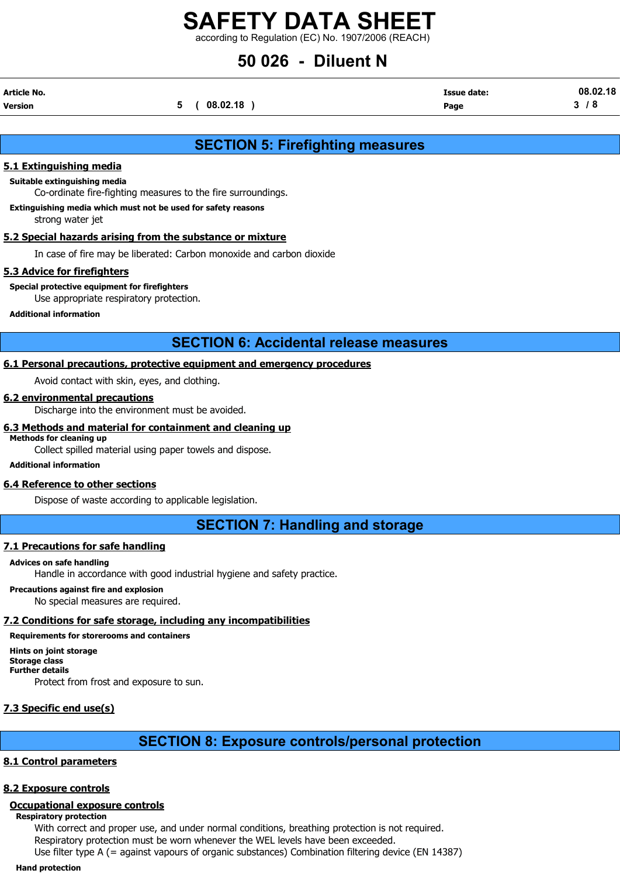according to Regulation (EC) No. 1907/2006 (REACH)

## 50 026 - Diluent N

| Article No. | Issue date: | 08.02.18<br>. |
|-------------|-------------|---------------|

Version 5 ( 08.02.18 ) Page 3 / 8

## SECTION 5: Firefighting measures

#### 5.1 Extinguishing media

#### Suitable extinguishing media

Co-ordinate fire-fighting measures to the fire surroundings.

#### Extinguishing media which must not be used for safety reasons

strong water jet

#### 5.2 Special hazards arising from the substance or mixture

In case of fire may be liberated: Carbon monoxide and carbon dioxide

#### 5.3 Advice for firefighters

Special protective equipment for firefighters

Use appropriate respiratory protection.

#### Additional information

### SECTION 6: Accidental release measures

#### 6.1 Personal precautions, protective equipment and emergency procedures

Avoid contact with skin, eyes, and clothing.

#### 6.2 environmental precautions

Discharge into the environment must be avoided.

#### 6.3 Methods and material for containment and cleaning up

#### Methods for cleaning up

Collect spilled material using paper towels and dispose.

#### Additional information

#### 6.4 Reference to other sections

Dispose of waste according to applicable legislation.

SECTION 7: Handling and storage

#### 7.1 Precautions for safe handling

#### Advices on safe handling

Handle in accordance with good industrial hygiene and safety practice.

#### Precautions against fire and explosion

No special measures are required.

#### 7.2 Conditions for safe storage, including any incompatibilities

#### Requirements for storerooms and containers

Hints on joint storage Storage class Further details Protect from frost and exposure to sun.

#### 7.3 Specific end use(s)

## SECTION 8: Exposure controls/personal protection

### 8.1 Control parameters

### 8.2 Exposure controls

### Occupational exposure controls

Respiratory protection

With correct and proper use, and under normal conditions, breathing protection is not required. Respiratory protection must be worn whenever the WEL levels have been exceeded. Use filter type A (= against vapours of organic substances) Combination filtering device (EN 14387)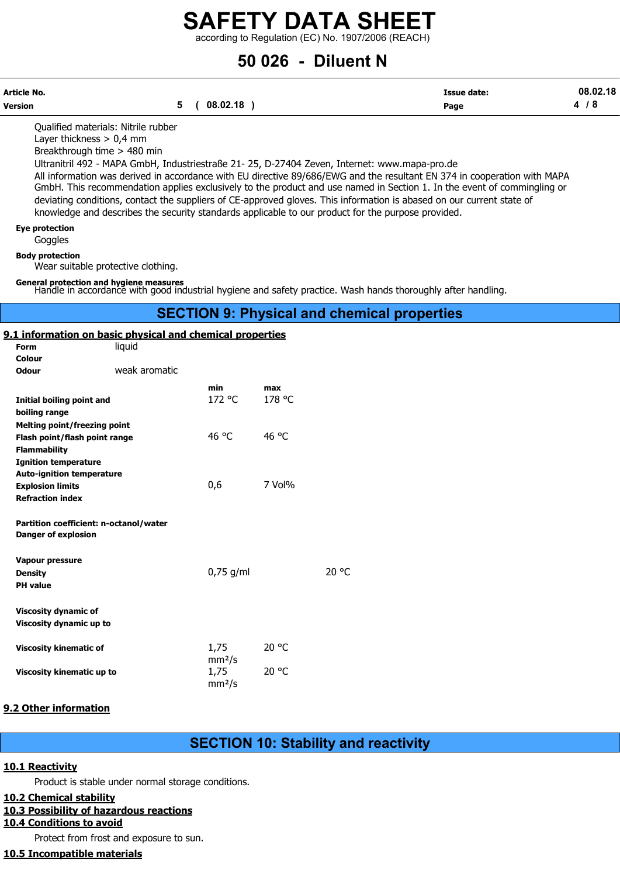## SAFETY DATA SHEET according to Regulation (EC) No. 1907/2006 (REACH)

## 50 026 - Diluent N

| Article No. |          | Issue date: | 08.02.18 |
|-------------|----------|-------------|----------|
| Version     | 08.02.18 | Page        | o        |

Qualified materials: Nitrile rubber Layer thickness  $> 0.4$  mm

Breakthrough time > 480 min

Ultranitril 492 - MAPA GmbH, Industriestraße 21- 25, D-27404 Zeven, Internet: www.mapa-pro.de

All information was derived in accordance with EU directive 89/686/EWG and the resultant EN 374 in cooperation with MAPA GmbH. This recommendation applies exclusively to the product and use named in Section 1. In the event of commingling or deviating conditions, contact the suppliers of CE-approved gloves. This information is abased on our current state of knowledge and describes the security standards applicable to our product for the purpose provided.

#### Eye protection

Goggles

#### Body protection

Wear suitable protective clothing.

General protection and hygiene measures Handle in accordance with good industrial hygiene and safety practice. Wash hands thoroughly after handling.

## SECTION 9: Physical and chemical properties

#### 9.1 information on basic physical and chemical properties

| <b>Form</b>                              | liquid        |                    |        |       |
|------------------------------------------|---------------|--------------------|--------|-------|
| Colour                                   |               |                    |        |       |
| <b>Odour</b>                             | weak aromatic |                    |        |       |
|                                          |               | min                | max    |       |
| Initial boiling point and                |               | 172 °C             | 178 °C |       |
| boiling range                            |               |                    |        |       |
| <b>Melting point/freezing point</b>      |               |                    |        |       |
| Flash point/flash point range            |               | 46 °C              | 46 °C  |       |
| <b>Flammability</b>                      |               |                    |        |       |
| <b>Ignition temperature</b>              |               |                    |        |       |
| <b>Auto-ignition temperature</b>         |               |                    |        |       |
| <b>Explosion limits</b>                  |               | 0,6                | 7 Vol% |       |
| <b>Refraction index</b>                  |               |                    |        |       |
|                                          |               |                    |        |       |
| Partition coefficient: n-octanol/water   |               |                    |        |       |
| <b>Danger of explosion</b>               |               |                    |        |       |
|                                          |               |                    |        |       |
| <b>Vapour pressure</b><br><b>Density</b> |               | $0,75$ g/ml        |        | 20 °C |
| <b>PH</b> value                          |               |                    |        |       |
|                                          |               |                    |        |       |
| <b>Viscosity dynamic of</b>              |               |                    |        |       |
| Viscosity dynamic up to                  |               |                    |        |       |
|                                          |               |                    |        |       |
| <b>Viscosity kinematic of</b>            |               | 1,75               | 20 °C  |       |
|                                          |               | mm <sup>2</sup> /s |        |       |
| Viscosity kinematic up to                |               | 1,75               | 20 °C  |       |
|                                          |               | mm <sup>2</sup> /s |        |       |

#### 9.2 Other information

## SECTION 10: Stability and reactivity

#### 10.1 Reactivity

Product is stable under normal storage conditions.

#### 10.2 Chemical stability

#### 10.3 Possibility of hazardous reactions

#### 10.4 Conditions to avoid

Protect from frost and exposure to sun.

#### 10.5 Incompatible materials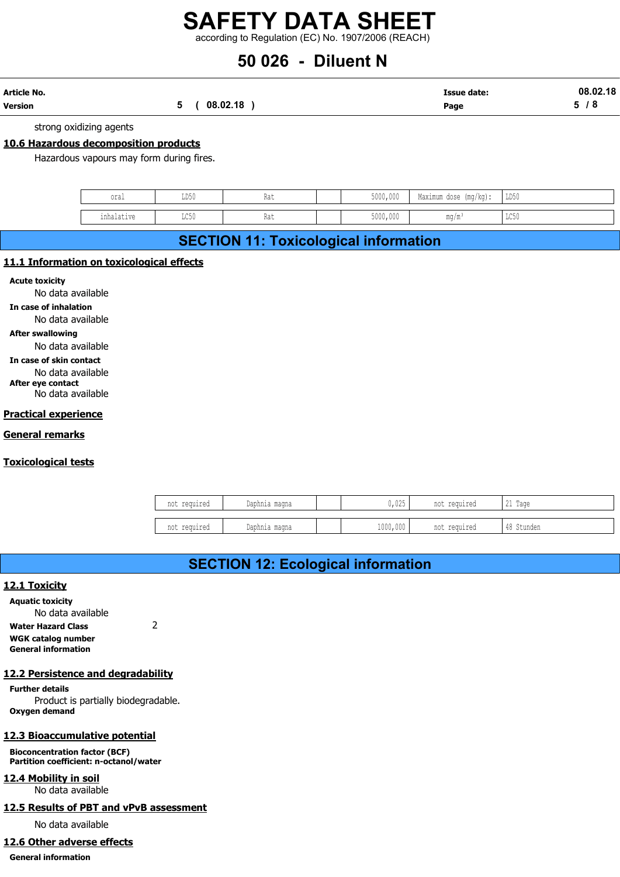## 50 026 - Diluent N

| Article No. |             | <b>Issue date:</b> | 08.02.18 |
|-------------|-------------|--------------------|----------|
| Version     | 5(08.02.18) | Page               | 5/8      |

strong oxidizing agents

#### 10.6 Hazardous decomposition products

Hazardous vapours may form during fires.

| according to Regulation (EC) No. 1907/2006 (REACH)<br>50 026 - Diluent N<br><b>Issue date:</b><br>5/8<br>5 <sub>5</sub><br>08.02.18)<br>Page<br>xidizing agents<br>us decomposition products<br>ous vapours may form during fires.<br>5000,000<br>Maximum dose (mg/kg):<br>LD50<br>LD50<br>Rat<br>oral<br>LC50<br>inhalative<br>LC50<br>5000,000<br>$mq/m^3$<br>Rat |  |  | <b>SAFETY DATA SHEET</b> |          |
|---------------------------------------------------------------------------------------------------------------------------------------------------------------------------------------------------------------------------------------------------------------------------------------------------------------------------------------------------------------------|--|--|--------------------------|----------|
|                                                                                                                                                                                                                                                                                                                                                                     |  |  |                          |          |
|                                                                                                                                                                                                                                                                                                                                                                     |  |  |                          | 08.02.18 |
|                                                                                                                                                                                                                                                                                                                                                                     |  |  |                          |          |
|                                                                                                                                                                                                                                                                                                                                                                     |  |  |                          |          |
|                                                                                                                                                                                                                                                                                                                                                                     |  |  |                          |          |

## SECTION 11: Toxicological information

#### 11.1 Information on toxicological effects

Acute toxicity

No data available In case of inhalation

No data available

## After swallowing

No data available

- In case of skin contact No data available
- After eye contact

No data available

#### Practical experience

General remarks

#### Toxicological tests

| <u>ical effects</u> |                                           |          |              |            |
|---------------------|-------------------------------------------|----------|--------------|------------|
|                     |                                           |          |              |            |
|                     |                                           |          |              |            |
|                     |                                           |          |              |            |
|                     |                                           |          |              |            |
|                     |                                           |          |              |            |
|                     |                                           |          |              |            |
|                     |                                           |          |              |            |
|                     |                                           |          |              |            |
|                     |                                           |          |              |            |
|                     |                                           |          |              |            |
|                     |                                           |          |              |            |
| not required        | Daphnia magna                             | 0,025    | not required | 21 Tage    |
| not required        | Daphnia magna                             | 1000,000 | not required | 48 Stunden |
|                     |                                           |          |              |            |
|                     | <b>SECTION 12: Ecological information</b> |          |              |            |
|                     |                                           |          |              |            |
|                     |                                           |          |              |            |
|                     |                                           |          |              |            |

## SECTION 12: Ecological information

#### 12.1 Toxicity

| <b>Aquatic toxicity</b>    |   |
|----------------------------|---|
| No data available          |   |
| <b>Water Hazard Class</b>  | 2 |
| WGK catalog number         |   |
| <b>General information</b> |   |

#### 12.2 Persistence and degradability

Further details Product is partially biodegradable. Oxygen demand

#### 12.3 Bioaccumulative potential

Bioconcentration factor (BCF) Partition coefficient: n-octanol/water

#### 12.4 Mobility in soil

No data available

#### 12.5 Results of PBT and vPvB assessment

No data available

#### 12.6 Other adverse effects

General information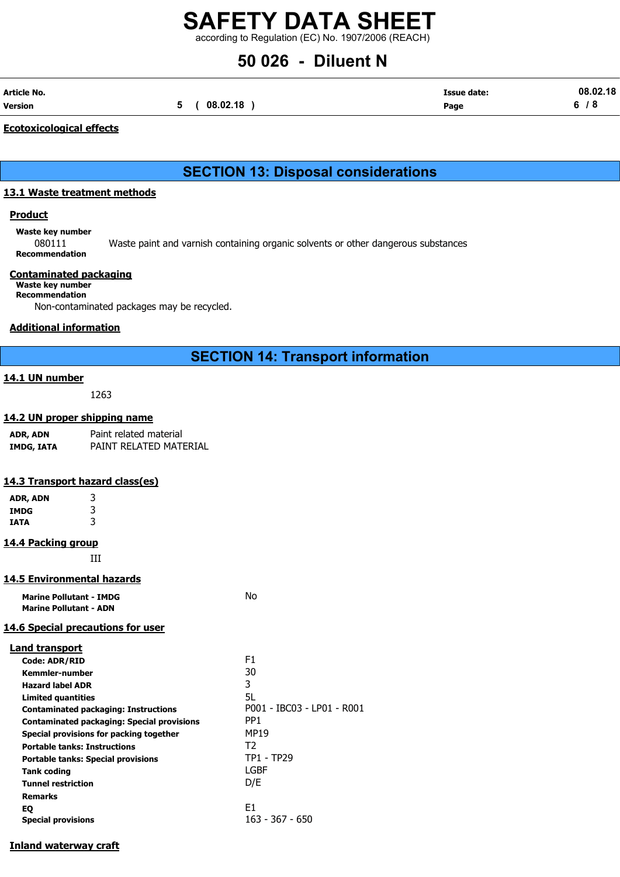according to Regulation (EC) No. 1907/2006 (REACH)

## 50 026 - Diluent N

| Article No. |            | <b>Issue date:</b> | 08.02.18  |
|-------------|------------|--------------------|-----------|
| Version     | (08.02.18) | Page               | <b>18</b> |

#### Ecotoxicological effects

## SECTION 13: Disposal considerations

#### 13.1 Waste treatment methods

#### **Product**

Waste key number

080111 Waste paint and varnish containing organic solvents or other dangerous substances Recommendation

#### Contaminated packaging

#### Waste key number Recommendation

Non-contaminated packages may be recycled.

#### Additional information

## SECTION 14: Transport information

#### 14.1 UN number

1263

#### 14.2 UN proper shipping name

| ADR, ADN   | Paint related material |
|------------|------------------------|
| IMDG, IATA | PAINT RELATED MATERIAL |

#### 14.3 Transport hazard class(es)

| ADR, ADN |   |
|----------|---|
| IMDG     | 3 |
| IATA     |   |

#### 14.4 Packing group

III

#### 14.5 Environmental hazards

Marine Pollutant - IMDG No Marine Pollutant - ADN

#### 14.6 Special precautions for user

| Land transport                                    |                            |
|---------------------------------------------------|----------------------------|
| <b>Code: ADR/RID</b>                              | F1                         |
| Kemmler-number                                    | 30                         |
| <b>Hazard label ADR</b>                           | 3                          |
| <b>Limited quantities</b>                         | 5L                         |
| <b>Contaminated packaging: Instructions</b>       | P001 - IBC03 - LP01 - R001 |
| <b>Contaminated packaging: Special provisions</b> | PP <sub>1</sub>            |
| Special provisions for packing together           | <b>MP19</b>                |
| <b>Portable tanks: Instructions</b>               | T2                         |
| <b>Portable tanks: Special provisions</b>         | <b>TP1 - TP29</b>          |
| <b>Tank coding</b>                                | LGBF                       |
| <b>Tunnel restriction</b>                         | D/E                        |
| <b>Remarks</b>                                    |                            |
| EQ                                                | F1                         |
| <b>Special provisions</b>                         | 163 - 367 - 650            |

#### Inland waterway craft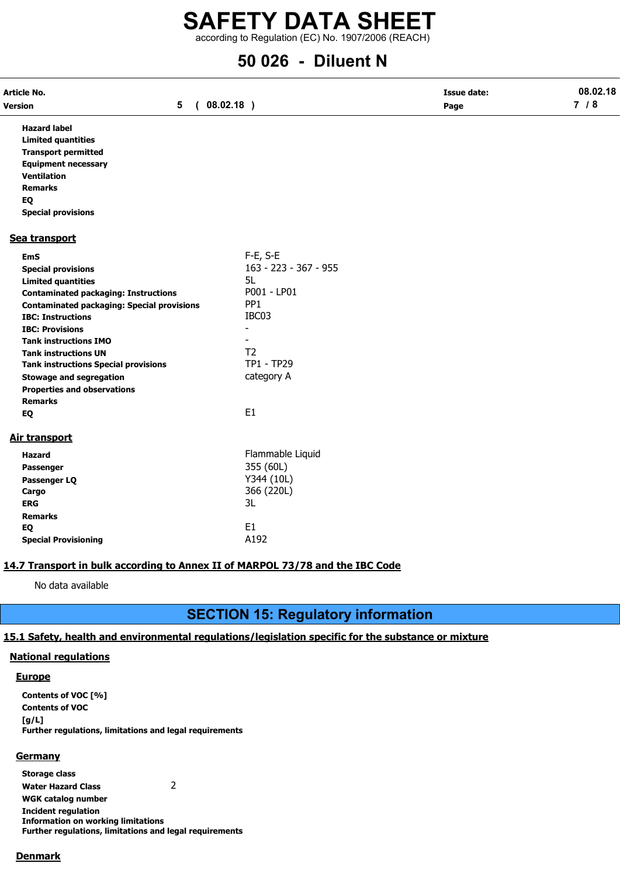according to Regulation (EC) No. 1907/2006 (REACH)

## 50 026 - Diluent N

| <b>Article No.</b>                                |                             |                       | <b>Issue date:</b> | 08.02.18 |
|---------------------------------------------------|-----------------------------|-----------------------|--------------------|----------|
| <b>Version</b>                                    | $5\phantom{.0}$<br>$\left($ | $08.02.18$ )          | Page               | 7/8      |
| <b>Hazard label</b>                               |                             |                       |                    |          |
| <b>Limited quantities</b>                         |                             |                       |                    |          |
| <b>Transport permitted</b>                        |                             |                       |                    |          |
| <b>Equipment necessary</b>                        |                             |                       |                    |          |
| <b>Ventilation</b>                                |                             |                       |                    |          |
| <b>Remarks</b>                                    |                             |                       |                    |          |
| EQ                                                |                             |                       |                    |          |
| <b>Special provisions</b>                         |                             |                       |                    |          |
| Sea transport                                     |                             |                       |                    |          |
| <b>EmS</b>                                        |                             | F-E, S-E              |                    |          |
| <b>Special provisions</b>                         |                             | 163 - 223 - 367 - 955 |                    |          |
| <b>Limited quantities</b>                         |                             | 5L                    |                    |          |
| <b>Contaminated packaging: Instructions</b>       |                             | P001 - LP01           |                    |          |
| <b>Contaminated packaging: Special provisions</b> |                             | PP <sub>1</sub>       |                    |          |
| <b>IBC: Instructions</b>                          |                             | IBC03                 |                    |          |
| <b>IBC: Provisions</b>                            |                             | $\blacksquare$        |                    |          |
| <b>Tank instructions IMO</b>                      |                             |                       |                    |          |
| <b>Tank instructions UN</b>                       |                             | T <sub>2</sub>        |                    |          |
| <b>Tank instructions Special provisions</b>       |                             | TP1 - TP29            |                    |          |
| <b>Stowage and segregation</b>                    |                             | category A            |                    |          |
| <b>Properties and observations</b>                |                             |                       |                    |          |
| <b>Remarks</b>                                    |                             |                       |                    |          |
| EQ                                                |                             | E1                    |                    |          |
| <b>Air transport</b>                              |                             |                       |                    |          |
| <b>Hazard</b>                                     |                             | Flammable Liquid      |                    |          |
| Passenger                                         |                             | 355 (60L)             |                    |          |
| Passenger LQ                                      |                             | Y344 (10L)            |                    |          |
| Cargo                                             |                             | 366 (220L)            |                    |          |
| <b>ERG</b>                                        |                             | 3L                    |                    |          |
| <b>Remarks</b>                                    |                             |                       |                    |          |
| EQ                                                |                             | E <sub>1</sub>        |                    |          |
| <b>Special Provisioning</b>                       |                             | A192                  |                    |          |

No data available

## SECTION 15: Regulatory information

#### 15.1 Safety, health and environmental regulations/legislation specific for the substance or mixture

#### National regulations

#### **Europe**

Contents of VOC [%] Contents of VOC [g/L] Further regulations, limitations and legal requirements

#### **Germany**

Storage class Water Hazard Class 2 WGK catalog number Incident regulation Information on working limitations Further regulations, limitations and legal requirements

### **Denmark**